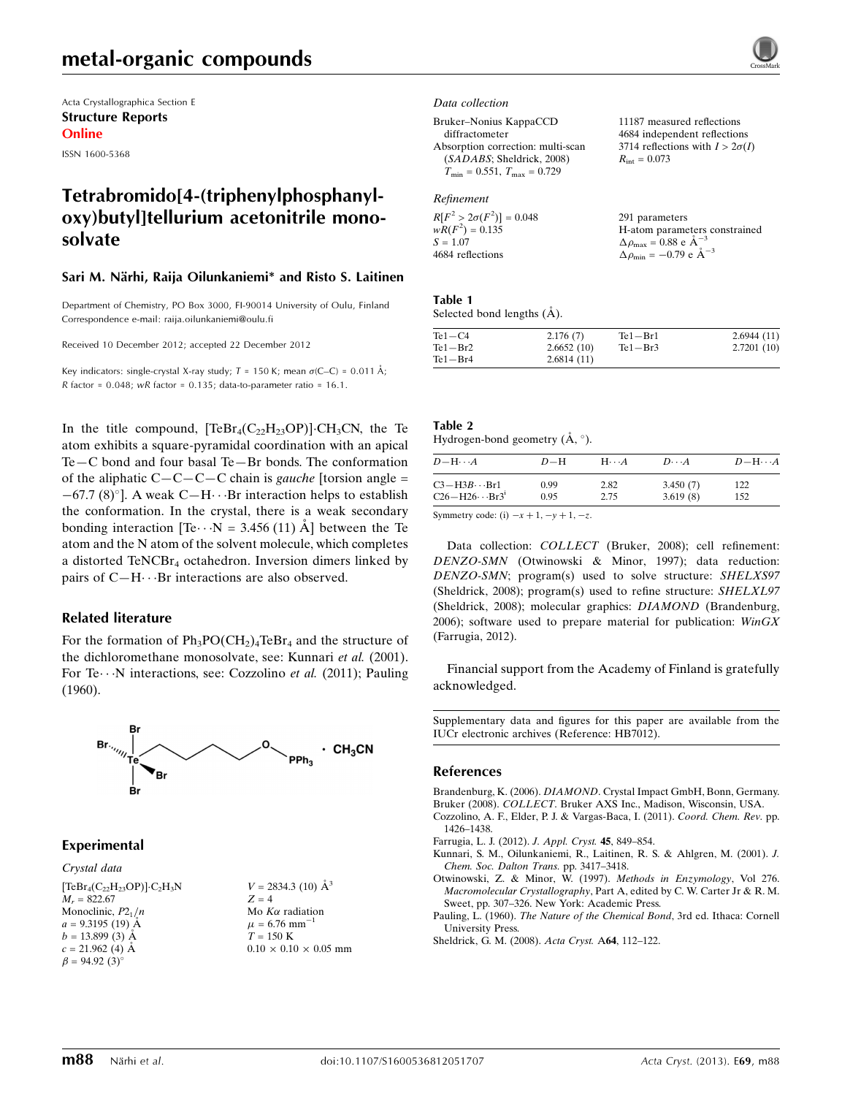# metal-organic compounds

Acta Crystallographica Section E Structure Reports Online

ISSN 1600-5368

# Tetrabromido[4-(triphenylphosphanyloxy)butyl]tellurium acetonitrile monosolvate

#### Sari M. Närhi, Raija Oilunkaniemi\* and Risto S. Laitinen

Department of Chemistry, PO Box 3000, FI-90014 University of Oulu, Finland Correspondence e-mail: [raija.oilunkaniemi@oulu.fi](https://scripts.iucr.org/cgi-bin/cr.cgi?rm=pdfbb&cnor=hb7012&bbid=BB8)

Received 10 December 2012; accepted 22 December 2012

Key indicators: single-crystal X-ray study;  $T = 150$  K; mean  $\sigma$ (C–C) = 0.011 Å; R factor =  $0.048$ ; wR factor =  $0.135$ ; data-to-parameter ratio = 16.1.

In the title compound,  $[\text{TeBr}_4(C_{22}H_{23}OP)]$ ·CH<sub>3</sub>CN, the Te atom exhibits a square-pyramidal coordination with an apical Te—C bond and four basal Te—Br bonds. The conformation of the aliphatic  $C - C - C - C$  chain is *gauche* [torsion angle =  $-67.7$  (8)°]. A weak C $-H$  $\cdots$ Br interaction helps to establish the conformation. In the crystal, there is a weak secondary bonding interaction [Te $\cdots$ N = 3.456 (11) Å] between the Te atom and the N atom of the solvent molecule, which completes a distorted TeNCBr4 octahedron. Inversion dimers linked by pairs of C-H···Br interactions are also observed.

## Related literature

For the formation of  $Ph_3PO(CH_2)_4TeBr_4$  and the structure of the dichloromethane monosolvate, see: Kunnari et al. (2001). For Te $\cdots$ N interactions, see: Cozzolino et al. (2011); Pauling (1960).



## Experimental

Crystal data  $[\text{TeBr}_4(C_{22}H_{23}OP)]\cdot C_2H_3N$  $M_r = 822.67$ Monoclinic,  $P2_1/n$  $a = 9.3195(19)$  A  $b = 13.899(3)$  Å  $c = 21.962$  (4) Å  $\beta = 94.92 (3)$ °

 $V = 2834.3$  (10)  $\AA^3$  $Z = 4$ Mo  $K\alpha$  radiation  $\mu = 6.76$  mm<sup>-1</sup>  $T = 150$  K  $0.10\,\times\,0.10\,\times\,0.05$  mm

#### Data collection

Bruker–Nonius KappaCCD diffractometer Absorption correction: multi-scan (SADABS; Sheldrick, 2008)  $T_{\text{min}} = 0.551, T_{\text{max}} = 0.729$ 

## Refinement

| $R[F^2 > 2\sigma(F^2)] = 0.048$ | 291 parameters                                   |
|---------------------------------|--------------------------------------------------|
| $wR(F^2) = 0.135$               | H-atom parameters constrained                    |
| $S = 1.07$                      | $\Delta \rho_{\text{max}} = 0.88$ e $\AA^{-3}$   |
| 4684 reflections                | $\Delta \rho_{\rm min} = -0.79 \text{ e A}^{-3}$ |

11187 measured reflections 4684 independent reflections 3714 reflections with  $I > 2\sigma(I)$ 

 $R_{\text{int}} = 0.073$ 

## Table 1

Selected bond lengths  $(\AA)$ .

| $Te1 - C4$  | 2.176(7)   | $Te1 - Br1$ | 2.6944(11) |
|-------------|------------|-------------|------------|
| $Te1 - Br2$ | 2.6652(10) | $Te1 - Br3$ | 2.7201(10) |
| Te1—Br4     | 2.6814(11) |             |            |

### Table 2

Hydrogen-bond geometry  $(\mathring{A}, \degree)$ .

| $D - H \cdots A$              | $D-H$ | $H \cdot \cdot \cdot A$ | $D\cdots A$ | $D - H \cdots A$ |
|-------------------------------|-------|-------------------------|-------------|------------------|
| $C3 - H3B \cdots Br1$         | 0.99  | 2.82                    | 3.450(7)    | 122              |
| $C26 - H26 \cdot \cdot Br3^i$ | 0.95  | 2.75                    | 3.619(8)    | 152              |

Symmetry code: (i)  $-x+1$ ,  $-y+1$ ,  $-z$ .

Data collection: COLLECT (Bruker, 2008); cell refinement: DENZO-SMN (Otwinowski & Minor, 1997); data reduction: DENZO-SMN; program(s) used to solve structure: SHELXS97 (Sheldrick, 2008); program(s) used to refine structure: SHELXL97 (Sheldrick, 2008); molecular graphics: DIAMOND (Brandenburg, 2006); software used to prepare material for publication:  $WinGX$ (Farrugia, 2012).

Financial support from the Academy of Finland is gratefully acknowledged.

Supplementary data and figures for this paper are available from the IUCr electronic archives (Reference: HB7012).

#### References

Brandenburg, K. (2006). DIAMOND[. Crystal Impact GmbH, Bonn, Germany.](https://scripts.iucr.org/cgi-bin/cr.cgi?rm=pdfbb&cnor=hb7012&bbid=BB1) Bruker (2008). COLLECT[. Bruker AXS Inc., Madison, Wisconsin, USA.](https://scripts.iucr.org/cgi-bin/cr.cgi?rm=pdfbb&cnor=hb7012&bbid=BB2) [Cozzolino, A. F., Elder, P. J. & Vargas-Baca, I. \(2011\).](https://scripts.iucr.org/cgi-bin/cr.cgi?rm=pdfbb&cnor=hb7012&bbid=BB3) Coord. Chem. Rev. pp.

[1426–1438.](https://scripts.iucr.org/cgi-bin/cr.cgi?rm=pdfbb&cnor=hb7012&bbid=BB3)

[Farrugia, L. J. \(2012\).](https://scripts.iucr.org/cgi-bin/cr.cgi?rm=pdfbb&cnor=hb7012&bbid=BB4) J. Appl. Cryst. 45, 849–854.

- [Kunnari, S. M., Oilunkaniemi, R., Laitinen, R. S. & Ahlgren, M. \(2001\).](https://scripts.iucr.org/cgi-bin/cr.cgi?rm=pdfbb&cnor=hb7012&bbid=BB5) J. [Chem. Soc. Dalton Trans.](https://scripts.iucr.org/cgi-bin/cr.cgi?rm=pdfbb&cnor=hb7012&bbid=BB5) pp. 3417–3418.
- [Otwinowski, Z. & Minor, W. \(1997\).](https://scripts.iucr.org/cgi-bin/cr.cgi?rm=pdfbb&cnor=hb7012&bbid=BB6) Methods in Enzymology, Vol 276. Macromolecular Crystallography[, Part A, edited by C. W. Carter Jr & R. M.](https://scripts.iucr.org/cgi-bin/cr.cgi?rm=pdfbb&cnor=hb7012&bbid=BB6) [Sweet, pp. 307–326. New York: Academic Press.](https://scripts.iucr.org/cgi-bin/cr.cgi?rm=pdfbb&cnor=hb7012&bbid=BB6)
- Pauling, L. (1960). [The Nature of the Chemical Bond](https://scripts.iucr.org/cgi-bin/cr.cgi?rm=pdfbb&cnor=hb7012&bbid=BB7), 3rd ed. Ithaca: Cornell [University Press.](https://scripts.iucr.org/cgi-bin/cr.cgi?rm=pdfbb&cnor=hb7012&bbid=BB7)

[Sheldrick, G. M. \(2008\).](https://scripts.iucr.org/cgi-bin/cr.cgi?rm=pdfbb&cnor=hb7012&bbid=BB8) Acta Cryst. A64, 112–122.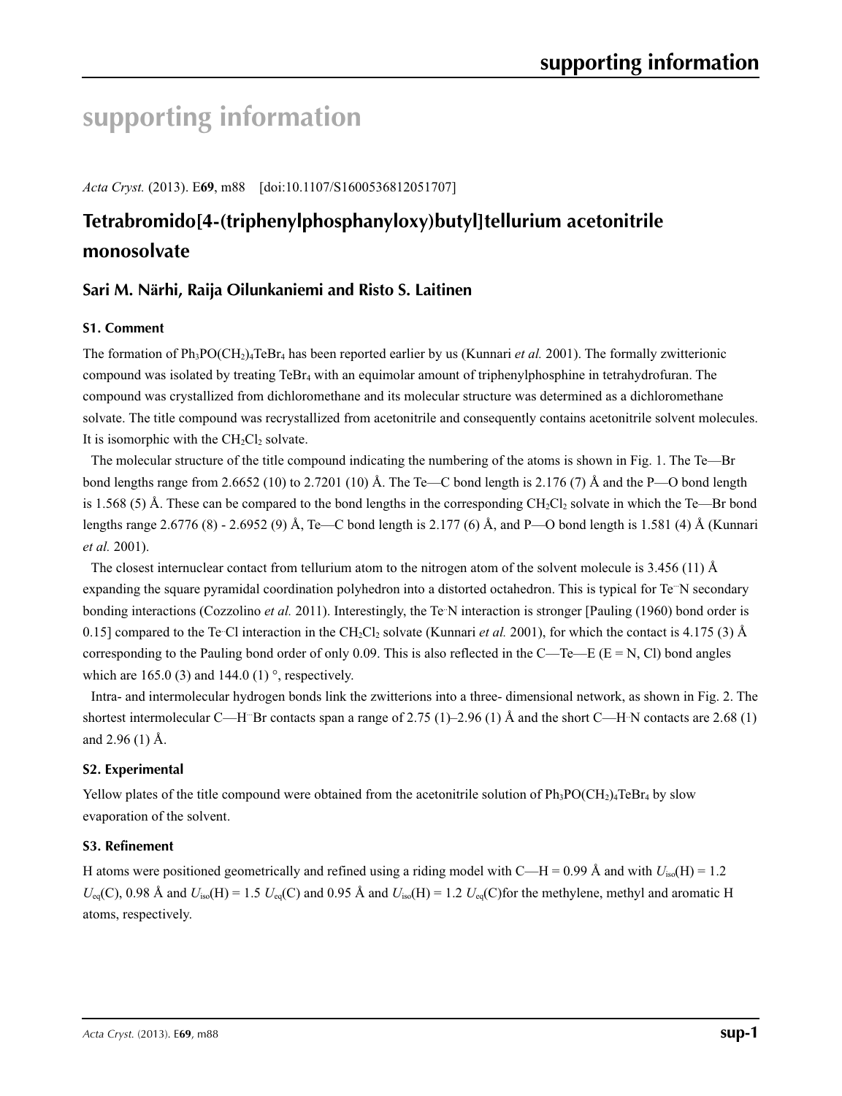# **supporting information**

*Acta Cryst.* (2013). E**69**, m88 [doi:10.1107/S1600536812051707]

# **Tetrabromido[4-(triphenylphosphanyloxy)butyl]tellurium acetonitrile monosolvate**

# **Sari M. Närhi, Raija Oilunkaniemi and Risto S. Laitinen**

## **S1. Comment**

The formation of Ph3PO(CH2)4TeBr4 has been reported earlier by us (Kunnari *et al.* 2001). The formally zwitterionic compound was isolated by treating TeBr4 with an equimolar amount of triphenylphosphine in tetrahydrofuran. The compound was crystallized from dichloromethane and its molecular structure was determined as a dichloromethane solvate. The title compound was recrystallized from acetonitrile and consequently contains acetonitrile solvent molecules. It is isomorphic with the  $CH<sub>2</sub>Cl<sub>2</sub>$  solvate.

The molecular structure of the title compound indicating the numbering of the atoms is shown in Fig. 1. The Te—Br bond lengths range from 2.6652 (10) to 2.7201 (10) Å. The Te—C bond length is 2.176 (7) Å and the P—O bond length is 1.568 (5) Å. These can be compared to the bond lengths in the corresponding  $CH_2Cl_2$  solvate in which the Te—Br bond lengths range 2.6776 (8) - 2.6952 (9) Å, Te—C bond length is 2.177 (6) Å, and P—O bond length is 1.581 (4) Å (Kunnari *et al.* 2001).

The closest internuclear contact from tellurium atom to the nitrogen atom of the solvent molecule is  $3.456$  (11) Å expanding the square pyramidal coordination polyhedron into a distorted octahedron. This is typical for Te<sup>-</sup>N secondary bonding interactions (Cozzolino *et al.* 2011). Interestingly, the Te<sup>.</sup>N interaction is stronger [Pauling (1960) bond order is 0.15] compared to the Te<sup>.</sup>Cl interaction in the CH<sub>2</sub>Cl<sub>2</sub> solvate (Kunnari *et al.* 2001), for which the contact is 4.175 (3) Å corresponding to the Pauling bond order of only 0.09. This is also reflected in the C—Te—E ( $E = N$ , Cl) bond angles which are 165.0 (3) and 144.0 (1) $^{\circ}$ , respectively.

Intra- and intermolecular hydrogen bonds link the zwitterions into a three- dimensional network, as shown in Fig. 2. The shortest intermolecular C—H<sup>-·</sup>Br contacts span a range of 2.75 (1)–2.96 (1) Å and the short C—H<sup>-</sup>N contacts are 2.68 (1) and 2.96 (1) Å.

## **S2. Experimental**

Yellow plates of the title compound were obtained from the acetonitrile solution of  $Ph_3PO(CH_2)_4TeBr_4$  by slow evaporation of the solvent.

## **S3. Refinement**

H atoms were positioned geometrically and refined using a riding model with  $C-H = 0.99$  Å and with  $U_{iso}(H) = 1.2$  $U_{eq}(C)$ , 0.98 Å and  $U_{iso}(H) = 1.5$   $U_{eq}(C)$  and 0.95 Å and  $U_{iso}(H) = 1.2$   $U_{eq}(C)$  for the methylene, methyl and aromatic H atoms, respectively.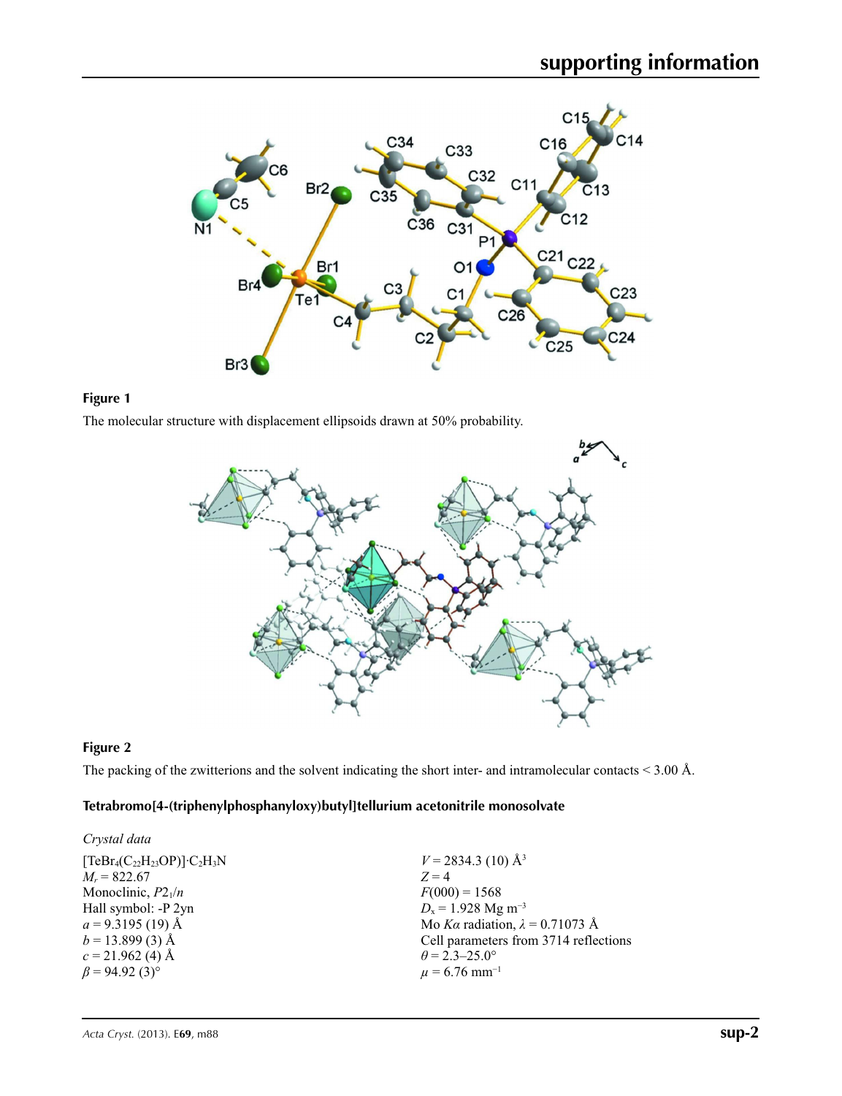

# **Figure 1**

The molecular structure with displacement ellipsoids drawn at 50% probability.



# **Figure 2**

The packing of the zwitterions and the solvent indicating the short inter- and intramolecular contacts < 3.00 Å.

## **Tetrabromo[4-(triphenylphosphanyloxy)butyl]tellurium acetonitrile monosolvate**

| Crystal data                                                                            |                                        |
|-----------------------------------------------------------------------------------------|----------------------------------------|
| $\text{[TeBr}_4(\text{C}_{22}\text{H}_{23}\text{OP})]\cdot\text{C}_2\text{H}_3\text{N}$ | $V = 2834.3$ (10) Å <sup>3</sup>       |
| $M_r = 822.67$                                                                          | $Z=4$                                  |
| Monoclinic, $P2_1/n$                                                                    | $F(000) = 1568$                        |
| Hall symbol: -P 2yn                                                                     | $D_x = 1.928$ Mg m <sup>-3</sup>       |
| $a = 9.3195$ (19) Å                                                                     | Mo Ka radiation, $\lambda = 0.71073$ Å |
| $b = 13.899(3)$ Å                                                                       | Cell parameters from 3714 reflections  |
| $c = 21.962$ (4) Å                                                                      | $\theta$ = 2.3–25.0°                   |
| $\beta$ = 94.92 (3) <sup>o</sup>                                                        | $\mu$ = 6.76 mm <sup>-1</sup>          |
|                                                                                         |                                        |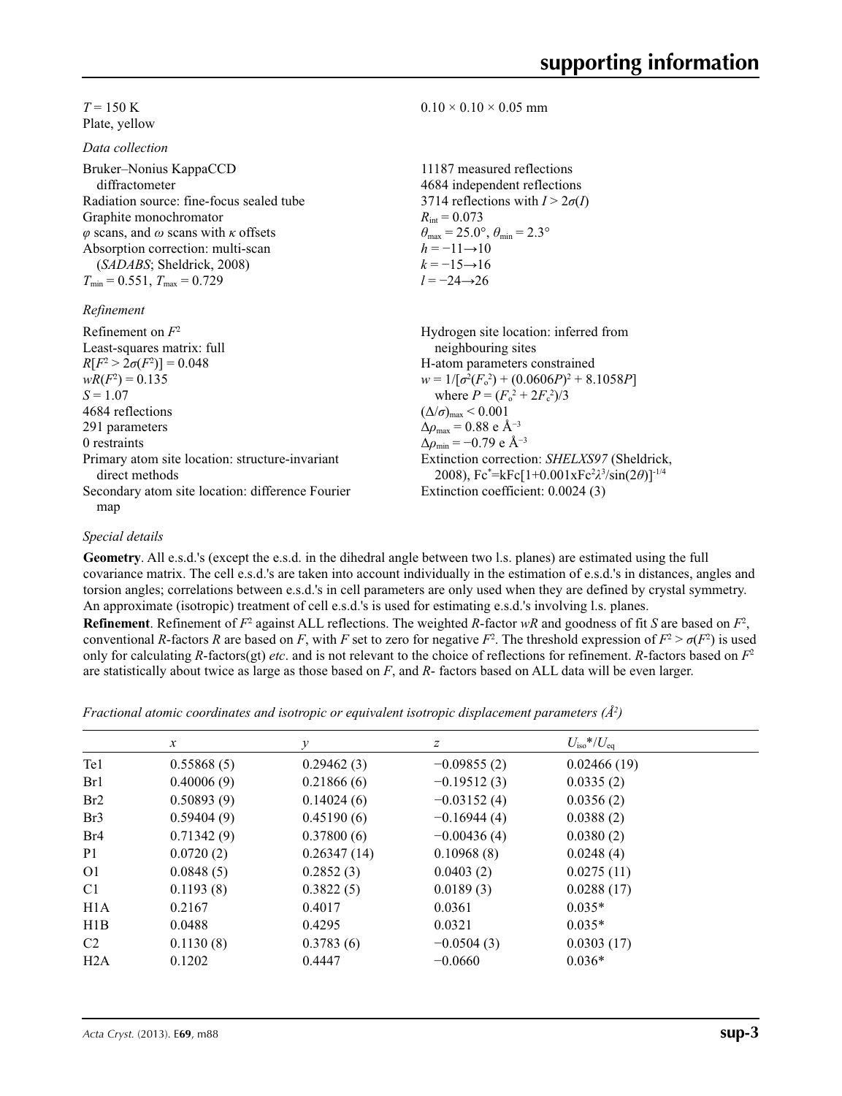## $T = 150 \text{ K}$ Plate, yellow

*Data collection*

| 11187 measured reflections<br>4684 independent reflections              |
|-------------------------------------------------------------------------|
| 3714 reflections with $I > 2\sigma(I)$                                  |
| $R_{\rm int} = 0.073$                                                   |
| $\theta_{\text{max}} = 25.0^{\circ}, \theta_{\text{min}} = 2.3^{\circ}$ |
| $h = -11 \rightarrow 10$                                                |
| $k = -15 \rightarrow 16$                                                |
| $l = -24 \rightarrow 26$                                                |
|                                                                         |
| Hydrogen site location: inferred from                                   |
| neighbouring sites                                                      |
| H-atom parameters constrained                                           |
| $w = 1/[\sigma^2(F_0^2) + (0.0606P)^2 + 8.1058P]$                       |
| where $P = (F_0^2 + 2F_c^2)/3$                                          |
| $(\Delta/\sigma)_{\text{max}}$ < 0.001                                  |
| $\Delta\rho_{\rm max}$ = 0.88 e Å <sup>-3</sup>                         |
| $\Delta\rho_{\rm min} = -0.79 \text{ e } \text{\AA}^{-3}$               |
| Extinction correction: SHELXS97 (Sheldrick,                             |
|                                                                         |

direct methods Secondary atom site location: difference Fourier map

2008), Fc\* =kFc[1+0.001xFc2 *λ*3 /sin(2*θ*)]-1/4

Extinction coefficient: 0.0024 (3)

 $0.10 \times 0.10 \times 0.05$  mm

## *Special details*

**Geometry**. All e.s.d.'s (except the e.s.d. in the dihedral angle between two l.s. planes) are estimated using the full covariance matrix. The cell e.s.d.'s are taken into account individually in the estimation of e.s.d.'s in distances, angles and torsion angles; correlations between e.s.d.'s in cell parameters are only used when they are defined by crystal symmetry. An approximate (isotropic) treatment of cell e.s.d.'s is used for estimating e.s.d.'s involving l.s. planes. **Refinement**. Refinement of  $F^2$  against ALL reflections. The weighted *R*-factor  $wR$  and goodness of fit *S* are based on  $F^2$ , conventional *R*-factors *R* are based on *F*, with *F* set to zero for negative  $F^2$ . The threshold expression of  $F^2 > \sigma(F^2)$  is used only for calculating *R*-factors(gt) *etc*. and is not relevant to the choice of reflections for refinement. *R*-factors based on *F*<sup>2</sup>

are statistically about twice as large as those based on *F*, and *R*- factors based on ALL data will be even larger.

*Fractional atomic coordinates and isotropic or equivalent isotropic displacement parameters (Å<sup>2</sup>)* 

|                 | $\mathcal{X}$ | y           | z             | $U_{\rm iso}*/U_{\rm eq}$ |  |
|-----------------|---------------|-------------|---------------|---------------------------|--|
| Te1             | 0.55868(5)    | 0.29462(3)  | $-0.09855(2)$ | 0.02466(19)               |  |
| Br1             | 0.40006(9)    | 0.21866(6)  | $-0.19512(3)$ | 0.0335(2)                 |  |
| Br <sub>2</sub> | 0.50893(9)    | 0.14024(6)  | $-0.03152(4)$ | 0.0356(2)                 |  |
| Br <sub>3</sub> | 0.59404(9)    | 0.45190(6)  | $-0.16944(4)$ | 0.0388(2)                 |  |
| Br <sub>4</sub> | 0.71342(9)    | 0.37800(6)  | $-0.00436(4)$ | 0.0380(2)                 |  |
| P <sub>1</sub>  | 0.0720(2)     | 0.26347(14) | 0.10968(8)    | 0.0248(4)                 |  |
| O <sub>1</sub>  | 0.0848(5)     | 0.2852(3)   | 0.0403(2)     | 0.0275(11)                |  |
| C1              | 0.1193(8)     | 0.3822(5)   | 0.0189(3)     | 0.0288(17)                |  |
| H1A             | 0.2167        | 0.4017      | 0.0361        | $0.035*$                  |  |
| H1B             | 0.0488        | 0.4295      | 0.0321        | $0.035*$                  |  |
| C2              | 0.1130(8)     | 0.3783(6)   | $-0.0504(3)$  | 0.0303(17)                |  |
| H2A             | 0.1202        | 0.4447      | $-0.0660$     | $0.036*$                  |  |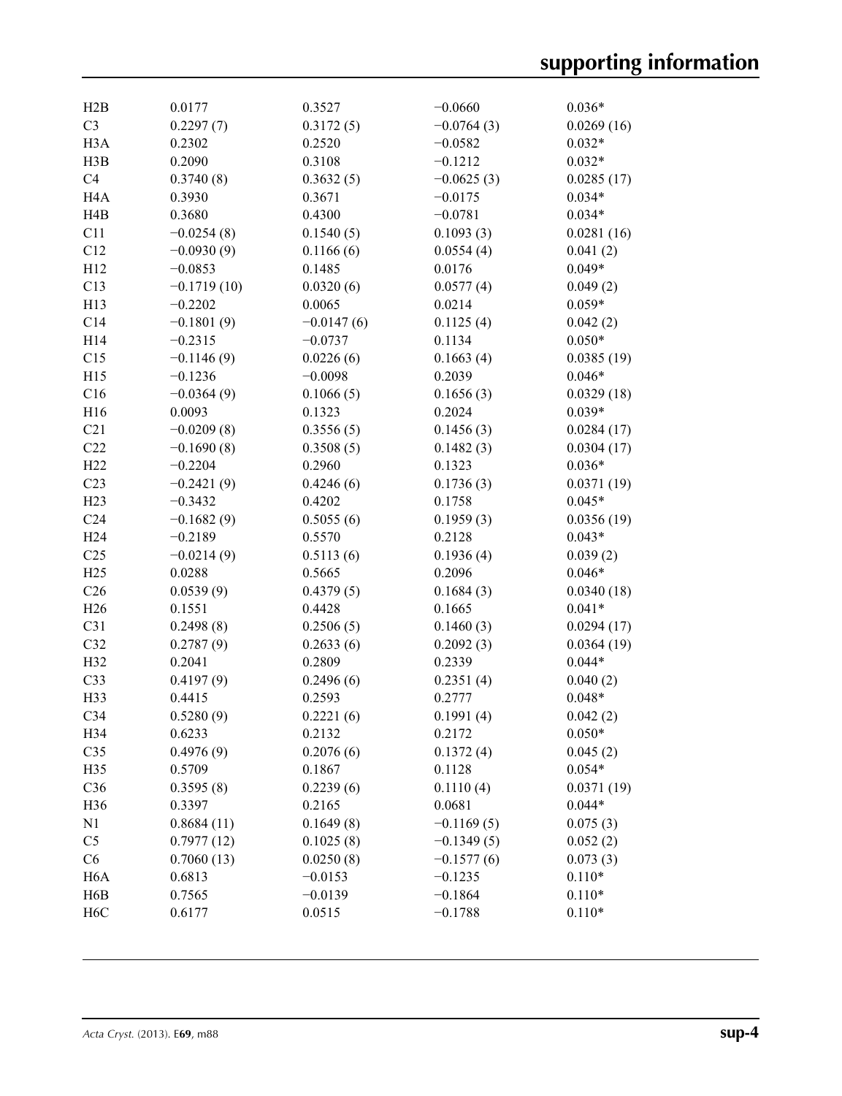| H2B                                  | 0.0177        | 0.3527                 | $-0.0660$    | $0.036*$   |
|--------------------------------------|---------------|------------------------|--------------|------------|
| C <sub>3</sub>                       | 0.2297(7)     | 0.3172(5)              | $-0.0764(3)$ | 0.0269(16) |
| H <sub>3</sub> A                     | 0.2302        | 0.2520                 | $-0.0582$    | $0.032*$   |
| H3B                                  | 0.2090        | 0.3108                 | $-0.1212$    | $0.032*$   |
| C <sub>4</sub>                       | 0.3740(8)     | 0.3632(5)              | $-0.0625(3)$ | 0.0285(17) |
| H <sub>4</sub> A                     | 0.3930        | 0.3671                 | $-0.0175$    | $0.034*$   |
| H4B                                  | 0.3680        | 0.4300                 | $-0.0781$    | $0.034*$   |
| C11                                  | $-0.0254(8)$  | 0.1540(5)              | 0.1093(3)    | 0.0281(16) |
| C12                                  | $-0.0930(9)$  | 0.1166(6)              | 0.0554(4)    | 0.041(2)   |
| H12                                  | $-0.0853$     | 0.1485                 | 0.0176       | $0.049*$   |
| C13                                  | $-0.1719(10)$ | 0.0320(6)              | 0.0577(4)    | 0.049(2)   |
| H13                                  | $-0.2202$     | 0.0065                 | 0.0214       | $0.059*$   |
| C14                                  | $-0.1801(9)$  | $-0.0147(6)$           | 0.1125(4)    | 0.042(2)   |
| H14                                  | $-0.2315$     | $-0.0737$              | 0.1134       | $0.050*$   |
| C15                                  | $-0.1146(9)$  | 0.0226(6)              | 0.1663(4)    | 0.0385(19) |
| H15                                  | $-0.1236$     | $-0.0098$              | 0.2039       | $0.046*$   |
| C16                                  | $-0.0364(9)$  | 0.1066(5)              | 0.1656(3)    | 0.0329(18) |
| H16                                  | 0.0093        | 0.1323                 | 0.2024       | $0.039*$   |
| C21                                  | $-0.0209(8)$  | 0.3556(5)              | 0.1456(3)    | 0.0284(17) |
| C22                                  | $-0.1690(8)$  | 0.3508(5)              | 0.1482(3)    | 0.0304(17) |
| H22                                  | $-0.2204$     | 0.2960                 | 0.1323       | $0.036*$   |
| C <sub>23</sub>                      | $-0.2421(9)$  | 0.4246(6)              | 0.1736(3)    | 0.0371(19) |
| H23                                  | $-0.3432$     | 0.4202                 | 0.1758       | $0.045*$   |
| C <sub>24</sub>                      | $-0.1682(9)$  | 0.5055(6)              | 0.1959(3)    | 0.0356(19) |
| H <sub>24</sub>                      | $-0.2189$     | 0.5570                 | 0.2128       | $0.043*$   |
| C <sub>25</sub>                      | $-0.0214(9)$  | 0.5113(6)              | 0.1936(4)    | 0.039(2)   |
| H25                                  | 0.0288        | 0.5665                 | 0.2096       | $0.046*$   |
| C <sub>26</sub>                      | 0.0539(9)     | 0.4379(5)              | 0.1684(3)    | 0.0340(18) |
| H <sub>26</sub>                      | 0.1551        | 0.4428                 | 0.1665       | $0.041*$   |
| C31                                  | 0.2498(8)     | 0.2506(5)              | 0.1460(3)    | 0.0294(17) |
| C32                                  | 0.2787(9)     | 0.2633(6)              | 0.2092(3)    | 0.0364(19) |
| H32                                  | 0.2041        | 0.2809                 | 0.2339       | $0.044*$   |
| C33                                  | 0.4197(9)     | 0.2496(6)              | 0.2351(4)    | 0.040(2)   |
| H33                                  | 0.4415        | 0.2593                 | 0.2777       | $0.048*$   |
| C34                                  | 0.5280(9)     | 0.2221(6)              | 0.1991(4)    | 0.042(2)   |
| H34                                  | 0.6233        | 0.2132                 | 0.2172       | $0.050*$   |
| C35                                  | 0.4976(9)     | 0.2076(6)              | 0.1372(4)    | 0.045(2)   |
| H35                                  | 0.5709        | 0.1867                 | 0.1128       | $0.054*$   |
| C36                                  | 0.3595(8)     | 0.2239(6)              | 0.1110(4)    | 0.0371(19) |
| H36                                  | 0.3397        | 0.2165                 | 0.0681       | $0.044*$   |
| N1                                   |               |                        |              |            |
| C <sub>5</sub>                       | 0.8684(11)    | 0.1649(8)              | $-0.1169(5)$ | 0.075(3)   |
|                                      | 0.7977(12)    | 0.1025(8)              | $-0.1349(5)$ | 0.052(2)   |
| C6                                   | 0.7060(13)    | 0.0250(8)<br>$-0.0153$ | $-0.1577(6)$ | 0.073(3)   |
| H <sub>6</sub> A                     | 0.6813        |                        | $-0.1235$    | $0.110*$   |
| H <sub>6</sub> B<br>H <sub>6</sub> C | 0.7565        | $-0.0139$<br>0.0515    | $-0.1864$    | $0.110*$   |
|                                      | 0.6177        |                        | $-0.1788$    | $0.110*$   |
|                                      |               |                        |              |            |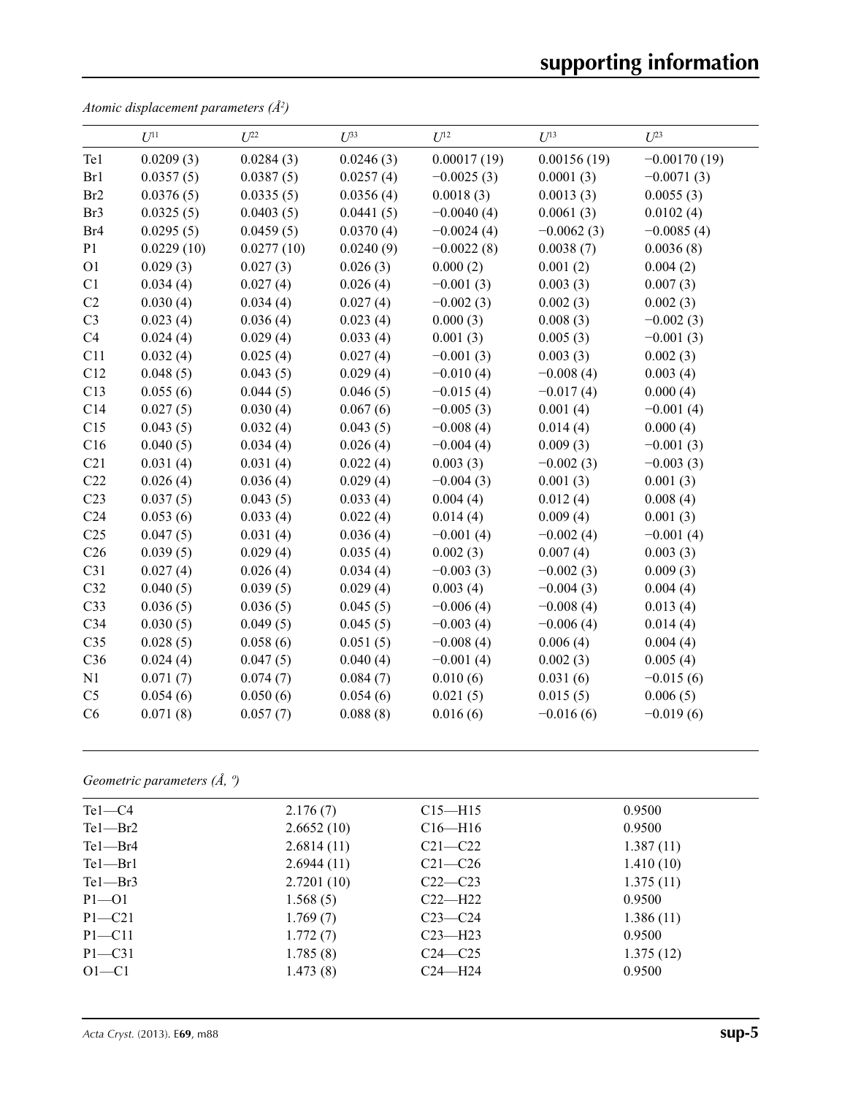# **supporting information**

*Atomic displacement parameters (Å2 )*

|                 | $U^{11}$   | $U^{22}$   | $U^{33}$  | $U^{12}$     | $U^{13}$     | $U^{23}$       |
|-----------------|------------|------------|-----------|--------------|--------------|----------------|
| Te1             | 0.0209(3)  | 0.0284(3)  | 0.0246(3) | 0.00017(19)  | 0.00156(19)  | $-0.00170(19)$ |
| Br1             | 0.0357(5)  | 0.0387(5)  | 0.0257(4) | $-0.0025(3)$ | 0.0001(3)    | $-0.0071(3)$   |
| Br2             | 0.0376(5)  | 0.0335(5)  | 0.0356(4) | 0.0018(3)    | 0.0013(3)    | 0.0055(3)      |
| Br3             | 0.0325(5)  | 0.0403(5)  | 0.0441(5) | $-0.0040(4)$ | 0.0061(3)    | 0.0102(4)      |
| Br <sub>4</sub> | 0.0295(5)  | 0.0459(5)  | 0.0370(4) | $-0.0024(4)$ | $-0.0062(3)$ | $-0.0085(4)$   |
| P <sub>1</sub>  | 0.0229(10) | 0.0277(10) | 0.0240(9) | $-0.0022(8)$ | 0.0038(7)    | 0.0036(8)      |
| O <sub>1</sub>  | 0.029(3)   | 0.027(3)   | 0.026(3)  | 0.000(2)     | 0.001(2)     | 0.004(2)       |
| C1              | 0.034(4)   | 0.027(4)   | 0.026(4)  | $-0.001(3)$  | 0.003(3)     | 0.007(3)       |
| C <sub>2</sub>  | 0.030(4)   | 0.034(4)   | 0.027(4)  | $-0.002(3)$  | 0.002(3)     | 0.002(3)       |
| C <sub>3</sub>  | 0.023(4)   | 0.036(4)   | 0.023(4)  | 0.000(3)     | 0.008(3)     | $-0.002(3)$    |
| C4              | 0.024(4)   | 0.029(4)   | 0.033(4)  | 0.001(3)     | 0.005(3)     | $-0.001(3)$    |
| C11             | 0.032(4)   | 0.025(4)   | 0.027(4)  | $-0.001(3)$  | 0.003(3)     | 0.002(3)       |
| C12             | 0.048(5)   | 0.043(5)   | 0.029(4)  | $-0.010(4)$  | $-0.008(4)$  | 0.003(4)       |
| C13             | 0.055(6)   | 0.044(5)   | 0.046(5)  | $-0.015(4)$  | $-0.017(4)$  | 0.000(4)       |
| C14             | 0.027(5)   | 0.030(4)   | 0.067(6)  | $-0.005(3)$  | 0.001(4)     | $-0.001(4)$    |
| C15             | 0.043(5)   | 0.032(4)   | 0.043(5)  | $-0.008(4)$  | 0.014(4)     | 0.000(4)       |
| C16             | 0.040(5)   | 0.034(4)   | 0.026(4)  | $-0.004(4)$  | 0.009(3)     | $-0.001(3)$    |
| C21             | 0.031(4)   | 0.031(4)   | 0.022(4)  | 0.003(3)     | $-0.002(3)$  | $-0.003(3)$    |
| C22             | 0.026(4)   | 0.036(4)   | 0.029(4)  | $-0.004(3)$  | 0.001(3)     | 0.001(3)       |
| C <sub>23</sub> | 0.037(5)   | 0.043(5)   | 0.033(4)  | 0.004(4)     | 0.012(4)     | 0.008(4)       |
| C <sub>24</sub> | 0.053(6)   | 0.033(4)   | 0.022(4)  | 0.014(4)     | 0.009(4)     | 0.001(3)       |
| C <sub>25</sub> | 0.047(5)   | 0.031(4)   | 0.036(4)  | $-0.001(4)$  | $-0.002(4)$  | $-0.001(4)$    |
| C <sub>26</sub> | 0.039(5)   | 0.029(4)   | 0.035(4)  | 0.002(3)     | 0.007(4)     | 0.003(3)       |
| C31             | 0.027(4)   | 0.026(4)   | 0.034(4)  | $-0.003(3)$  | $-0.002(3)$  | 0.009(3)       |
| C32             | 0.040(5)   | 0.039(5)   | 0.029(4)  | 0.003(4)     | $-0.004(3)$  | 0.004(4)       |
| C33             | 0.036(5)   | 0.036(5)   | 0.045(5)  | $-0.006(4)$  | $-0.008(4)$  | 0.013(4)       |
| C34             | 0.030(5)   | 0.049(5)   | 0.045(5)  | $-0.003(4)$  | $-0.006(4)$  | 0.014(4)       |
| C35             | 0.028(5)   | 0.058(6)   | 0.051(5)  | $-0.008(4)$  | 0.006(4)     | 0.004(4)       |
| C36             | 0.024(4)   | 0.047(5)   | 0.040(4)  | $-0.001(4)$  | 0.002(3)     | 0.005(4)       |
| N1              | 0.071(7)   | 0.074(7)   | 0.084(7)  | 0.010(6)     | 0.031(6)     | $-0.015(6)$    |
| C <sub>5</sub>  | 0.054(6)   | 0.050(6)   | 0.054(6)  | 0.021(5)     | 0.015(5)     | 0.006(5)       |
| C6              | 0.071(8)   | 0.057(7)   | 0.088(8)  | 0.016(6)     | $-0.016(6)$  | $-0.019(6)$    |

*Geometric parameters (Å, º)*

| $Te1-C4$    | 2.176(7)   | $C15 - H15$   | 0.9500    |
|-------------|------------|---------------|-----------|
| $Te1 - Br2$ | 2.6652(10) | $C16$ —H $16$ | 0.9500    |
| $Te1 - Br4$ | 2.6814(11) | $C21 - C22$   | 1.387(11) |
| $Te1 - Br1$ | 2.6944(11) | $C21 - C26$   | 1.410(10) |
| $Te1 - Br3$ | 2.7201(10) | $C22-C23$     | 1.375(11) |
| $P1 - O1$   | 1.568(5)   | $C22-H22$     | 0.9500    |
| $P1 - C21$  | 1.769(7)   | $C23-C24$     | 1.386(11) |
| $P1 - C11$  | 1.772(7)   | $C23 - H23$   | 0.9500    |
| $P1 - C31$  | 1.785(8)   | $C24 - C25$   | 1.375(12) |
| $O1-C1$     | 1.473(8)   | $C24$ —H24    | 0.9500    |
|             |            |               |           |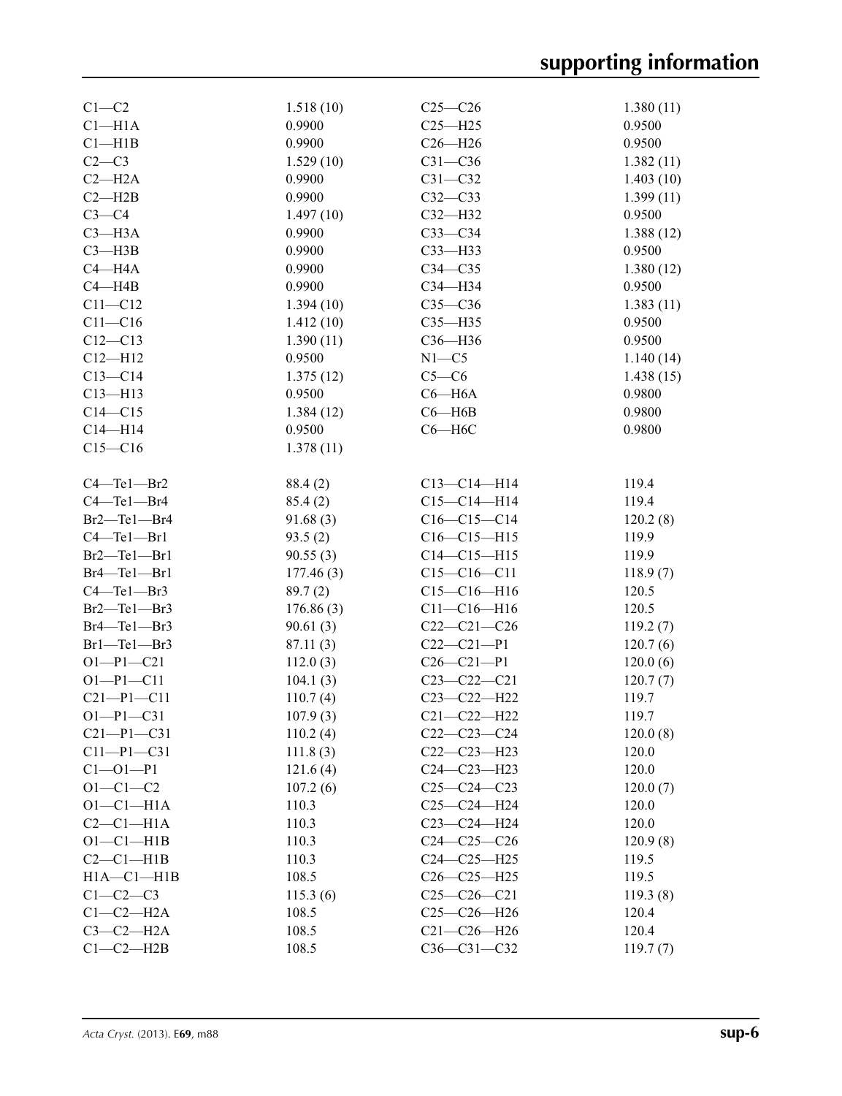| $C1-C2$                              | 1.518(10) | $C25-C26$         | 1.380(11) |
|--------------------------------------|-----------|-------------------|-----------|
| Cl <sub>–H1A</sub>                   | 0.9900    | $C25 - H25$       | 0.9500    |
| $Cl-H1B$                             | 0.9900    | $C26 - H26$       | 0.9500    |
| $C2-C3$                              | 1.529(10) | $C31 - C36$       | 1.382(11) |
| $C2 - H2A$                           | 0.9900    | $C31 - C32$       | 1.403(10) |
| $C2 - H2B$                           | 0.9900    | $C32-C33$         | 1.399(11) |
| $C3-C4$                              | 1.497(10) | $C32-H32$         | 0.9500    |
| $C3 - H3A$                           | 0.9900    | $C33-C34$         | 1.388(12) |
| $C3 - H3B$                           | 0.9900    | $C33$ -H33        | 0.9500    |
| $C4 - H4A$                           | 0.9900    | $C34 - C35$       | 1.380(12) |
| $C4 - H4B$                           | 0.9900    | $C34 - H34$       | 0.9500    |
| $C11 - C12$                          | 1.394(10) | $C35-C36$         | 1.383(11) |
| $C11 - C16$                          | 1.412(10) | $C35 - H35$       | 0.9500    |
| $C12 - C13$                          | 1.390(11) | C36-H36           | 0.9500    |
| $C12 - H12$                          | 0.9500    | $N1 - C5$         | 1.140(14) |
| $C13 - C14$                          | 1.375(12) | $C5-C6$           | 1.438(15) |
| $C13 - H13$                          | 0.9500    | $C6 - H6A$        | 0.9800    |
| $C14 - C15$                          | 1.384(12) | $C6 - H6B$        | 0.9800    |
| $C14 - H14$                          | 0.9500    | $C6 - H6C$        | 0.9800    |
| $C15-C16$                            | 1.378(11) |                   |           |
|                                      |           |                   |           |
| $C4 - Te1 - Br2$                     | 88.4 (2)  | $C13-C14-H14$     | 119.4     |
| $C4 - Te1 - Br4$                     | 85.4(2)   | $C15-C14-H14$     | 119.4     |
| Br2-Te1-Br4                          | 91.68(3)  | $C16-C15-C14$     | 120.2(8)  |
| $C4 - Te1 - Br1$                     | 93.5(2)   | $C16-C15-H15$     | 119.9     |
| $Br2$ -Tel-Brl                       | 90.55(3)  | $C14 - C15 - H15$ | 119.9     |
| Br4-Te1-Br1                          | 177.46(3) | $C15-C16-C11$     | 118.9(7)  |
| $C4 - Tel - Br3$                     | 89.7(2)   | $C15-C16-H16$     | 120.5     |
| $Br2$ —Tel—Br3                       | 176.86(3) | $C11 - C16 - H16$ | 120.5     |
| Br <sub>4</sub> -Tel-Br <sub>3</sub> | 90.61(3)  | $C22-C21-C26$     | 119.2(7)  |
| $Br1$ -Tel-Br3                       | 87.11(3)  | $C22-C21-P1$      | 120.7(6)  |
| $O1-P1-C21$                          | 112.0(3)  | $C26 - C21 - P1$  | 120.0(6)  |
| $O1-P1-C11$                          | 104.1(3)  | $C23-C22-C21$     | 120.7(7)  |
| $C21 - P1 - C11$                     | 110.7(4)  | C23-C22-H22       | 119.7     |
| $O1-P1-C31$                          | 107.9(3)  | $C21 - C22 - H22$ | 119.7     |
| $C21-P1-C31$                         | 110.2(4)  | $C22-C23-C24$     | 120.0(8)  |
| $C11-P1-C31$                         | 111.8(3)  | $C22-C23-H23$     | 120.0     |
| $C1 - O1 - P1$                       | 121.6(4)  | $C24 - C23 - H23$ | 120.0     |
| $O1 - C1 - C2$                       | 107.2(6)  | $C25-C24-C23$     | 120.0(7)  |
| $O1-C1-H1A$                          | 110.3     | $C25-C24-H24$     | 120.0     |
| $C2-C1-H1A$                          | 110.3     | $C23-C24-H24$     | 120.0     |
| $O1-C1-H1B$                          | 110.3     | $C24-C25-C26$     | 120.9(8)  |
| $C2-C1-H1B$                          | 110.3     | $C24 - C25 - H25$ | 119.5     |
| $H1A - C1 - H1B$                     | 108.5     | $C26 - C25 - H25$ | 119.5     |
| $C1-C2-C3$                           | 115.3(6)  | $C25-C26-C21$     | 119.3(8)  |
| $C1-C2-H2A$                          | 108.5     | $C25 - C26 - H26$ | 120.4     |
| $C3-C2-H2A$                          | 108.5     | $C21 - C26 - H26$ | 120.4     |
| $C1-C2-H2B$                          | 108.5     | $C36 - C31 - C32$ | 119.7(7)  |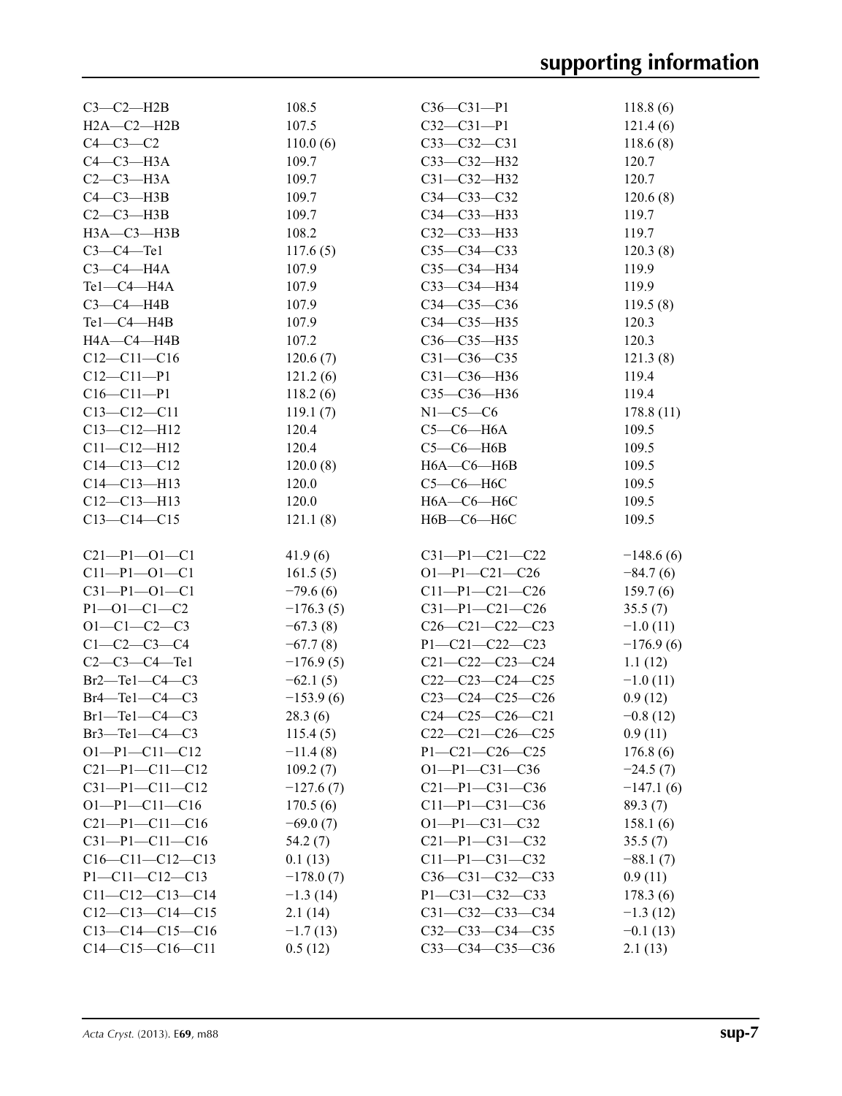| $C3-C2-H2B$                            | 108.5                 | $C36 - C31 - P1$                             | 118.8(6)                 |
|----------------------------------------|-----------------------|----------------------------------------------|--------------------------|
| $H2A-C2-H2B$                           | 107.5                 | $C32 - C31 - P1$                             | 121.4(6)                 |
| $C4-C3-C2$                             | 110.0(6)              | $C33-C32-C31$                                | 118.6(8)                 |
| $C4-C3-H3A$                            | 109.7                 | C33-C32-H32                                  | 120.7                    |
| $C2-C3-H3A$                            | 109.7                 | C31-C32-H32                                  | 120.7                    |
| $C4-C3-H3B$                            | 109.7                 | C34-C33-C32                                  | 120.6(8)                 |
| $C2-C3-H3B$                            | 109.7                 | C34-C33-H33                                  | 119.7                    |
| НЗА-СЗ-НЗВ                             | 108.2                 | C32-C33-H33                                  | 119.7                    |
| $C3-C4$ —Tel                           | 117.6(5)              | $C35-C34-C33$                                | 120.3(8)                 |
| $C3-C4-H4A$                            | 107.9                 | $C35-C34-H34$                                | 119.9                    |
| Tel-C4-H4A                             | 107.9                 | СЗЗ-СЗ4-НЗ4                                  | 119.9                    |
| $C3-C4-H4B$                            | 107.9                 | $C34 - C35 - C36$                            | 119.5(8)                 |
| Tel-C4-H4B                             | 107.9                 | C34-C35-H35                                  | 120.3                    |
| H4A-C4-H4B                             | 107.2                 | $C36 - C35 - H35$                            | 120.3                    |
| $C12-C11-C16$                          | 120.6(7)              | $C31 - C36 - C35$                            | 121.3(8)                 |
| $C12 - C11 - P1$                       | 121.2(6)              | C31-C36-H36                                  | 119.4                    |
| $C16 - C11 - P1$                       | 118.2(6)              | C35-C36-H36                                  | 119.4                    |
| $C13 - C12 - C11$                      | 119.1(7)              | $N1-C5-C6$                                   | 178.8(11)                |
| $C13 - C12 - H12$                      | 120.4                 | $C5-C6-H6A$                                  | 109.5                    |
| $C11 - C12 - H12$                      | 120.4                 | $C5-C6-H6B$                                  | 109.5                    |
| $C14 - C13 - C12$                      | 120.0(8)              | $H6A-C6-H6B$                                 | 109.5                    |
| $C14 - C13 - H13$                      | 120.0                 | $C5-C6-H6C$                                  | 109.5                    |
| $C12-C13-H13$                          | 120.0                 | $H6A-C6-H6C$                                 | 109.5                    |
| $C13 - C14 - C15$                      | 121.1(8)              | Н6В-С6-Н6С                                   | 109.5                    |
|                                        |                       |                                              |                          |
| $C21-P1-O1-C1$                         | 41.9(6)               | $C31-P1-C21-C22$                             | $-148.6(6)$              |
| $C11-P1-O1-C1$                         | 161.5(5)              | $O1-P1-C21-C26$                              | $-84.7(6)$               |
| $C31-P1-O1-C1$                         | $-79.6(6)$            | $C11-P1-C21-C26$                             | 159.7(6)                 |
| $P1 - O1 - C1 - C2$                    | $-176.3(5)$           | $C31-P1-C21-C26$                             | 35.5(7)                  |
| $O1 - C1 - C2 - C3$                    | $-67.3(8)$            | $C26-C21-C22-C23$                            | $-1.0(11)$               |
| $C1-C2-C3-C4$                          | $-67.7(8)$            | $P1 - C21 - C22 - C23$                       | $-176.9(6)$              |
| $C2-C3-C4-Te1$                         | $-176.9(5)$           | $C21 - C22 - C23 - C24$                      | 1.1(12)                  |
| $Br2$ —Tel—C4—C3                       | $-62.1(5)$            | $C22-C23-C24-C25$                            | $-1.0(11)$               |
| $Br4$ —Tel—C4—C3                       | $-153.9(6)$           | $C23-C24-C25-C26$                            | 0.9(12)                  |
| $Br1$ -Tel-C4-C3                       | 28.3(6)               | $C24-C25-C26-C21$                            | $-0.8(12)$               |
| $Br3$ —Tel—C4—C3                       | 115.4(5)              | $C22-C21-C26-C25$                            | 0.9(11)                  |
| $O1-P1-C11-C12$                        | $-11.4(8)$            | $P1 - C21 - C26 - C25$                       | 176.8(6)                 |
| $C21-P1-C11-C12$                       | 109.2(7)              | $O1-P1-C31-C36$                              | $-24.5(7)$               |
| $C31-P1-C11-C12$                       |                       |                                              |                          |
| $O1-P1-C11-C16$                        |                       |                                              |                          |
|                                        | $-127.6(7)$           | $C21-P1-C31-C36$                             | $-147.1(6)$              |
|                                        | 170.5(6)              | $C11-P1-C31-C36$                             | 89.3 (7)                 |
| $C21-P1-C11-C16$                       | $-69.0(7)$            | $O1-P1-C31-C32$                              | 158.1(6)                 |
| $C31-P1-C11-C16$                       | 54.2(7)               | $C21-P1-C31-C32$                             | 35.5(7)                  |
| $C16-C11-C12-C13$                      | 0.1(13)               | $C11-P1-C31-C32$                             | $-88.1(7)$               |
| $P1 - C11 - C12 - C13$                 | $-178.0(7)$           | $C36-C31-C32-C33$                            | 0.9(11)                  |
| $C11-C12-C13-C14$                      | $-1.3(14)$            | $P1 - C31 - C32 - C33$                       | 178.3(6)                 |
| $C12-C13-C14-C15$<br>$C13-C14-C15-C16$ | 2.1(14)<br>$-1.7(13)$ | $C31 - C32 - C33 - C34$<br>$C32-C33-C34-C35$ | $-1.3(12)$<br>$-0.1(13)$ |